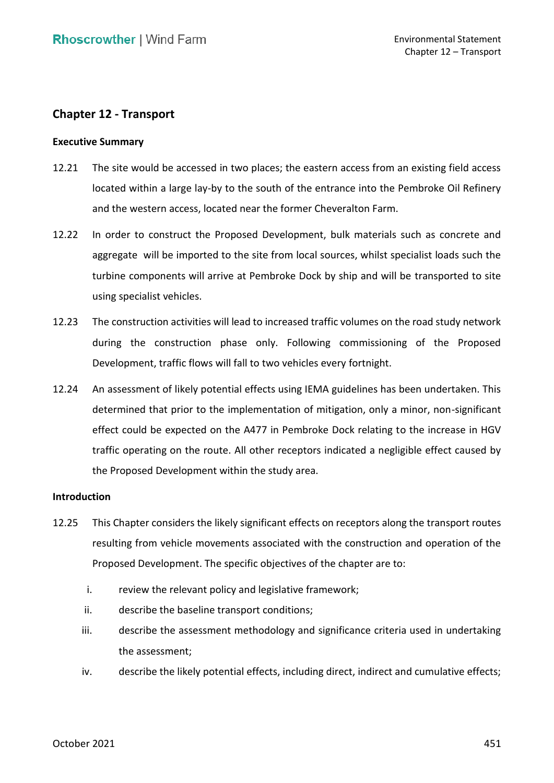# **Chapter 12 - Transport**

## **Executive Summary**

- 12.21 The site would be accessed in two places; the eastern access from an existing field access located within a large lay-by to the south of the entrance into the Pembroke Oil Refinery and the western access, located near the former Cheveralton Farm.
- aggregate will be imported to the site from local sources, whilst specialist loads such the turbine components will arrive at Pembroke Dock by ship and will be transported to site 12.22 In order to construct the Proposed Development, bulk materials such as concrete and using specialist vehicles.
- 12.23 The construction activities will lead to increased traffic volumes on the road study network Development, traffic flows will fall to two vehicles every fortnight. during the construction phase only. Following commissioning of the Proposed
- 12.24 An assessment of likely potential effects using IEMA guidelines has been undertaken. This determined that prior to the implementation of mitigation, only a minor, non-significant effect could be expected on the A477 in Pembroke Dock relating to the increase in HGV traffic operating on the route. All other receptors indicated a negligible effect caused by the Proposed Development within the study area.

### **Introduction**

- 12.25 This Chapter considers the likely significant effects on receptors along the transport routes resulting from vehicle movements associated with the construction and operation of the Proposed Development. The specific objectives of the chapter are to:
	- i. review the relevant policy and legislative framework;
	- ii. describe the baseline transport conditions;
	- iii. describe the assessment methodology and significance criteria used in undertaking the assessment;
	- iv. describe the likely potential effects, including direct, indirect and cumulative effects;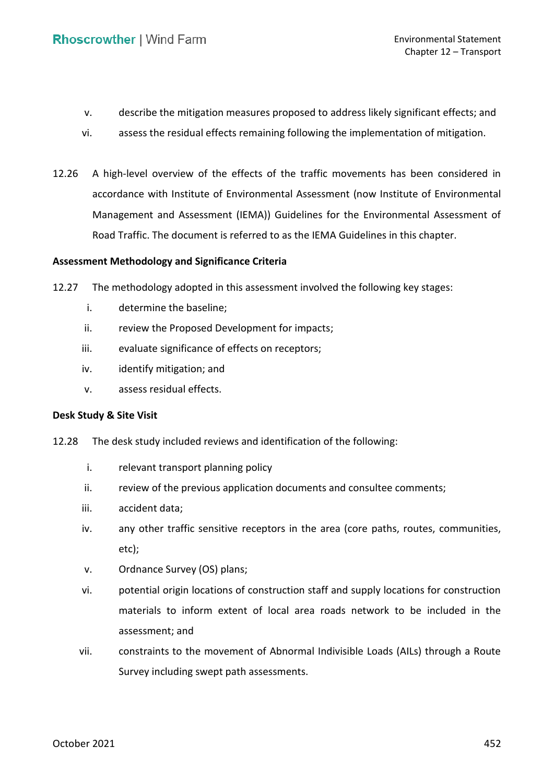- v. describe the mitigation measures proposed to address likely significant effects; and
- vi. assess the residual effects remaining following the implementation of mitigation.
- 12.26 A high-level overview of the effects of the traffic movements has been considered in accordance with Institute of Environmental Assessment (now Institute of Environmental Management and Assessment (IEMA)) Guidelines for the Environmental Assessment of Road Traffic. The document is referred to as the IEMA Guidelines in this chapter.

## **Assessment Methodology and Significance Criteria**

12.27 The methodology adopted in this assessment involved the following key stages:

- i. determine the baseline;
- ii. review the Proposed Development for impacts;
- iii. evaluate significance of effects on receptors;
- iv. identify mitigation; and
- v. assess residual effects.

#### **Desk Study & Site Visit**

- 12.28 The desk study included reviews and identification of the following:
	- i. relevant transport planning policy
	- ii. review of the previous application documents and consultee comments;
	- iii. accident data;
	- iv. any other traffic sensitive receptors in the area (core paths, routes, communities, etc);
	- v. Ordnance Survey (OS) plans;
	- vi. potential origin locations of construction staff and supply locations for construction materials to inform extent of local area roads network to be included in the assessment; and
	- vii. constraints to the movement of Abnormal Indivisible Loads (AILs) through a Route Survey including swept path assessments.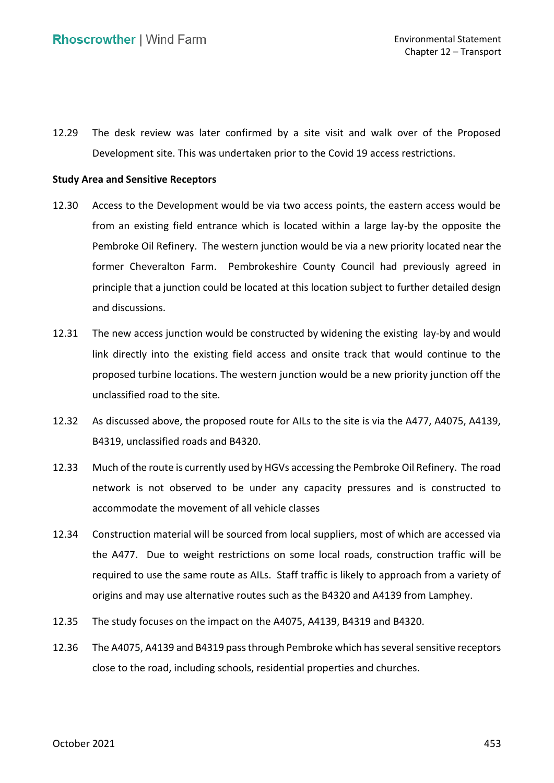12.29 The desk review was later confirmed by a site visit and walk over of the Proposed Development site. This was undertaken prior to the Covid 19 access restrictions.

## **Study Area and Sensitive Receptors**

- 12.30 Access to the Development would be via two access points, the eastern access would be from an existing field entrance which is located within a large lay-by the opposite the Pembroke Oil Refinery. The western junction would be via a new priority located near the former Cheveralton Farm. Pembrokeshire County Council had previously agreed in principle that a junction could be located at this location subject to further detailed design and discussions.
- 12.31 The new access junction would be constructed by widening the existing lay-by and would link directly into the existing field access and onsite track that would continue to the proposed turbine locations. The western junction would be a new priority junction off the unclassified road to the site.
- 12.32 As discussed above, the proposed route for AILs to the site is via the A477, A4075, A4139, B4319, unclassified roads and B4320.
- 12.33 Much of the route is currently used by HGVs accessing the Pembroke Oil Refinery. The road network is not observed to be under any capacity pressures and is constructed to accommodate the movement of all vehicle classes
- 12.34 Construction material will be sourced from local suppliers, most of which are accessed via the A477. Due to weight restrictions on some local roads, construction traffic will be required to use the same route as AILs. Staff traffic is likely to approach from a variety of origins and may use alternative routes such as the B4320 and A4139 from Lamphey.
- 12.35 The study focuses on the impact on the A4075, A4139, B4319 and B4320.
- 12.36 The A4075, A4139 and B4319 pass through Pembroke which has several sensitive receptors close to the road, including schools, residential properties and churches.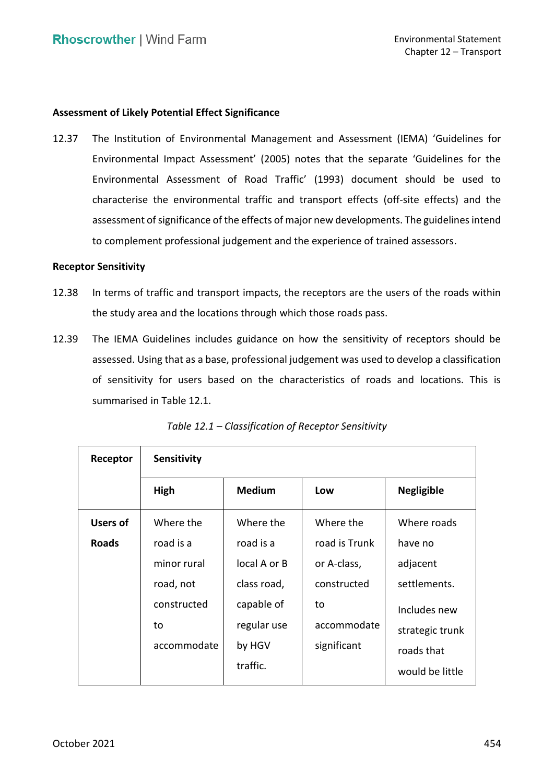## **Assessment of Likely Potential Effect Significance**

 Environmental Impact Assessment' (2005) notes that the separate 'Guidelines for the Environmental Assessment of Road Traffic' (1993) document should be used to characterise the environmental traffic and transport effects (off-site effects) and the assessment of significance of the effects of major new developments. The guidelines intend to complement professional judgement and the experience of trained assessors. 12.37 The Institution of Environmental Management and Assessment (IEMA) 'Guidelines for

#### **Receptor Sensitivity**

- 12.38 In terms of traffic and transport impacts, the receptors are the users of the roads within the study area and the locations through which those roads pass.
- 12.39 The IEMA Guidelines includes guidance on how the sensitivity of receptors should be assessed. Using that as a base, professional judgement was used to develop a classification of sensitivity for users based on the characteristics of roads and locations. This is summarised in Table 12.1.

| Receptor        | <b>Sensitivity</b> |               |               |                   |  |  |  |
|-----------------|--------------------|---------------|---------------|-------------------|--|--|--|
|                 | High               | <b>Medium</b> | Low           | <b>Negligible</b> |  |  |  |
| <b>Users of</b> | Where the          | Where the     | Where the     | Where roads       |  |  |  |
| <b>Roads</b>    | road is a          | road is a     | road is Trunk | have no           |  |  |  |
|                 | minor rural        | local A or B  | or A-class,   | adjacent          |  |  |  |
|                 | road, not          | class road,   | constructed   | settlements.      |  |  |  |
|                 | constructed        | capable of    | to            | Includes new      |  |  |  |
|                 | to                 | regular use   | accommodate   | strategic trunk   |  |  |  |
|                 | accommodate        | by HGV        | significant   | roads that        |  |  |  |
|                 |                    | traffic.      |               | would be little   |  |  |  |

 *Table 12.1 – Classification of Receptor Sensitivity*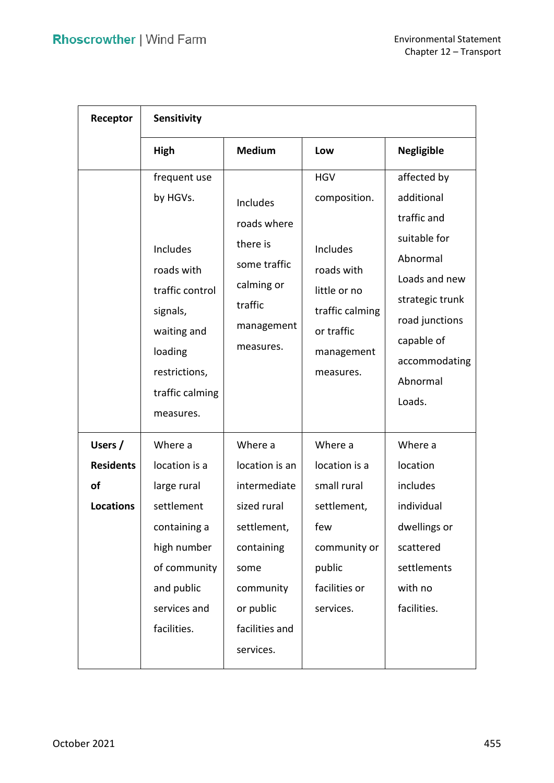| Receptor                                              | Sensitivity                                                                                                                                                  |                                                                                                                                                        |                                                                                                                                  |                                                                                                                                                                                 |  |  |
|-------------------------------------------------------|--------------------------------------------------------------------------------------------------------------------------------------------------------------|--------------------------------------------------------------------------------------------------------------------------------------------------------|----------------------------------------------------------------------------------------------------------------------------------|---------------------------------------------------------------------------------------------------------------------------------------------------------------------------------|--|--|
|                                                       | High                                                                                                                                                         | <b>Medium</b>                                                                                                                                          | Low                                                                                                                              | <b>Negligible</b>                                                                                                                                                               |  |  |
|                                                       | frequent use<br>by HGVs.<br>Includes<br>roads with<br>traffic control<br>signals,<br>waiting and<br>loading<br>restrictions,<br>traffic calming<br>measures. | Includes<br>roads where<br>there is<br>some traffic<br>calming or<br>traffic<br>management<br>measures.                                                | <b>HGV</b><br>composition.<br>Includes<br>roads with<br>little or no<br>traffic calming<br>or traffic<br>management<br>measures. | affected by<br>additional<br>traffic and<br>suitable for<br>Abnormal<br>Loads and new<br>strategic trunk<br>road junctions<br>capable of<br>accommodating<br>Abnormal<br>Loads. |  |  |
| Users /<br><b>Residents</b><br>of<br><b>Locations</b> | Where a<br>location is a<br>large rural<br>settlement<br>containing a<br>high number<br>of community<br>and public<br>services and<br>facilities.            | Where a<br>location is an<br>intermediate<br>sized rural<br>settlement,<br>containing<br>some<br>community<br>or public<br>facilities and<br>services. | Where a<br>location is a<br>small rural<br>settlement,<br>few<br>community or<br>public<br>facilities or<br>services.            | Where a<br>location<br>includes<br>individual<br>dwellings or<br>scattered<br>settlements<br>with no<br>facilities.                                                             |  |  |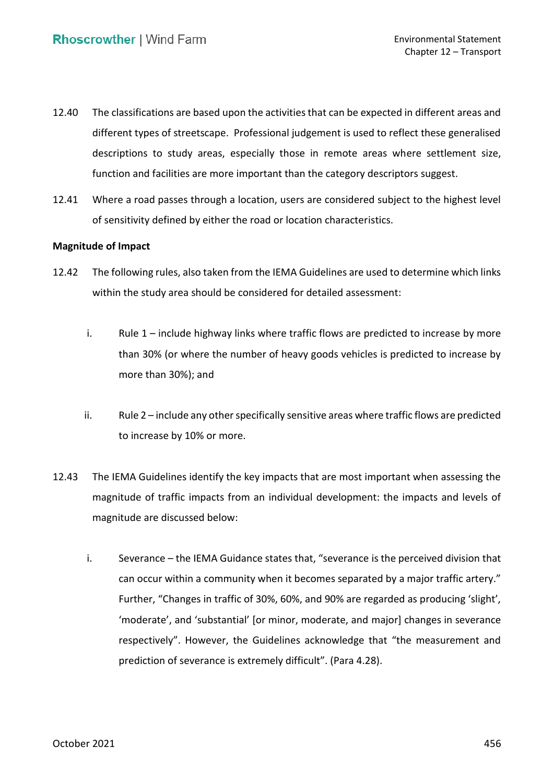- 12.40 The classifications are based upon the activities that can be expected in different areas and different types of streetscape. Professional judgement is used to reflect these generalised descriptions to study areas, especially those in remote areas where settlement size, function and facilities are more important than the category descriptors suggest.
- 12.41 Where a road passes through a location, users are considered subject to the highest level of sensitivity defined by either the road or location characteristics.

## **Magnitude of Impact**

- 12.42 The following rules, also taken from the IEMA Guidelines are used to determine which links within the study area should be considered for detailed assessment:
	- i. Rule 1 include highway links where traffic flows are predicted to increase by more than 30% (or where the number of heavy goods vehicles is predicted to increase by more than 30%); and
	- ii. Rule 2 include any other specifically sensitive areas where traffic flows are predicted to increase by 10% or more.
- 12.43 The IEMA Guidelines identify the key impacts that are most important when assessing the magnitude of traffic impacts from an individual development: the impacts and levels of magnitude are discussed below:
	- i. Severance the IEMA Guidance states that, "severance is the perceived division that can occur within a community when it becomes separated by a major traffic artery." Further, "Changes in traffic of 30%, 60%, and 90% are regarded as producing 'slight', 'moderate', and 'substantial' [or minor, moderate, and major] changes in severance respectively". However, the Guidelines acknowledge that "the measurement and prediction of severance is extremely difficult". (Para 4.28).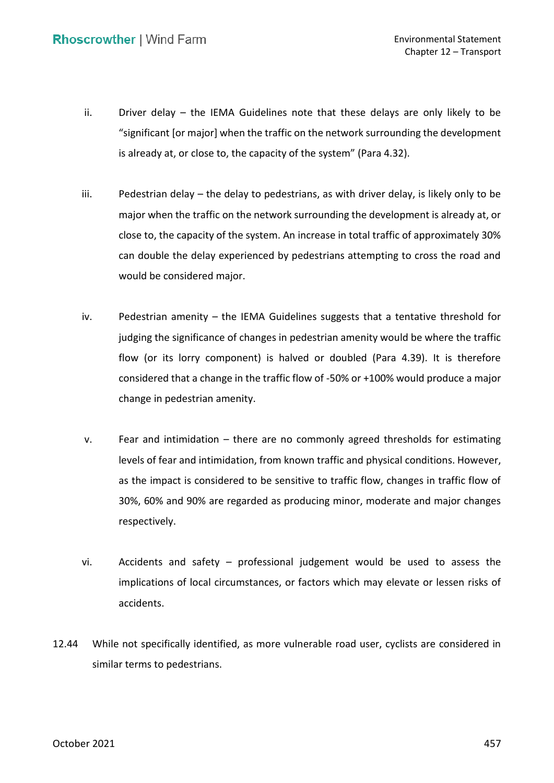- ii. Driver delay the IEMA Guidelines note that these delays are only likely to be "significant [or major] when the traffic on the network surrounding the development is already at, or close to, the capacity of the system" (Para 4.32).
- iii. Pedestrian delay the delay to pedestrians, as with driver delay, is likely only to be major when the traffic on the network surrounding the development is already at, or close to, the capacity of the system. An increase in total traffic of approximately 30% can double the delay experienced by pedestrians attempting to cross the road and would be considered major.
- iv. Pedestrian amenity the IEMA Guidelines suggests that a tentative threshold for judging the significance of changes in pedestrian amenity would be where the traffic flow (or its lorry component) is halved or doubled (Para 4.39). It is therefore considered that a change in the traffic flow of -50% or +100% would produce a major change in pedestrian amenity.
- v. Fear and intimidation there are no commonly agreed thresholds for estimating levels of fear and intimidation, from known traffic and physical conditions. However, as the impact is considered to be sensitive to traffic flow, changes in traffic flow of 30%, 60% and 90% are regarded as producing minor, moderate and major changes respectively.
- vi. Accidents and safety professional judgement would be used to assess the implications of local circumstances, or factors which may elevate or lessen risks of accidents.
- 12.44 While not specifically identified, as more vulnerable road user, cyclists are considered in similar terms to pedestrians.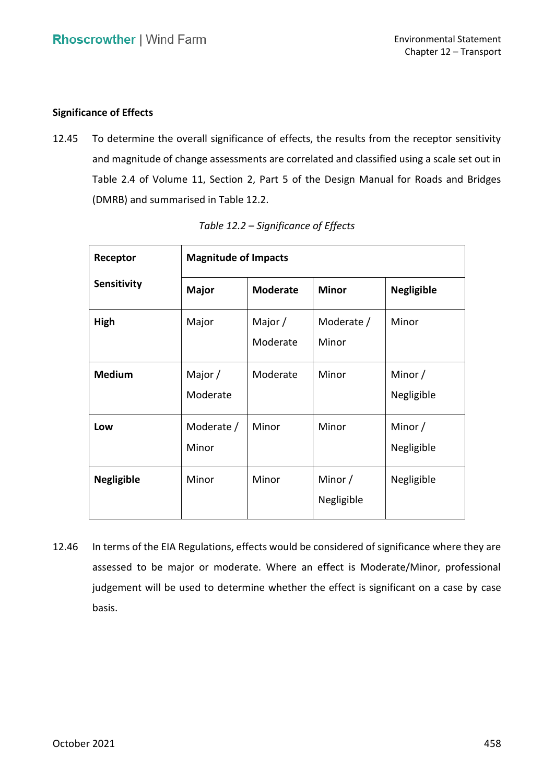## **Significance of Effects**

 12.45 To determine the overall significance of effects, the results from the receptor sensitivity and magnitude of change assessments are correlated and classified using a scale set out in Table 2.4 of Volume 11, Section 2, Part 5 of the Design Manual for Roads and Bridges (DMRB) and summarised in Table 12.2.

| <b>Magnitude of Impacts</b><br>Receptor |                       |                       |                       |                       |  |  |
|-----------------------------------------|-----------------------|-----------------------|-----------------------|-----------------------|--|--|
| <b>Sensitivity</b>                      | <b>Major</b>          | <b>Moderate</b>       | <b>Minor</b>          | <b>Negligible</b>     |  |  |
| High                                    | Major                 | Major $/$<br>Moderate | Moderate /<br>Minor   | Minor                 |  |  |
| <b>Medium</b>                           | Major $/$<br>Moderate | Moderate              | Minor                 | Minor /<br>Negligible |  |  |
| Low                                     | Moderate /<br>Minor   | Minor                 | Minor                 | Minor /<br>Negligible |  |  |
| <b>Negligible</b>                       | Minor                 | Minor                 | Minor /<br>Negligible | Negligible            |  |  |

*Table 12.2 – Significance of Effects* 

 12.46 In terms of the EIA Regulations, effects would be considered of significance where they are assessed to be major or moderate. Where an effect is Moderate/Minor, professional judgement will be used to determine whether the effect is significant on a case by case basis.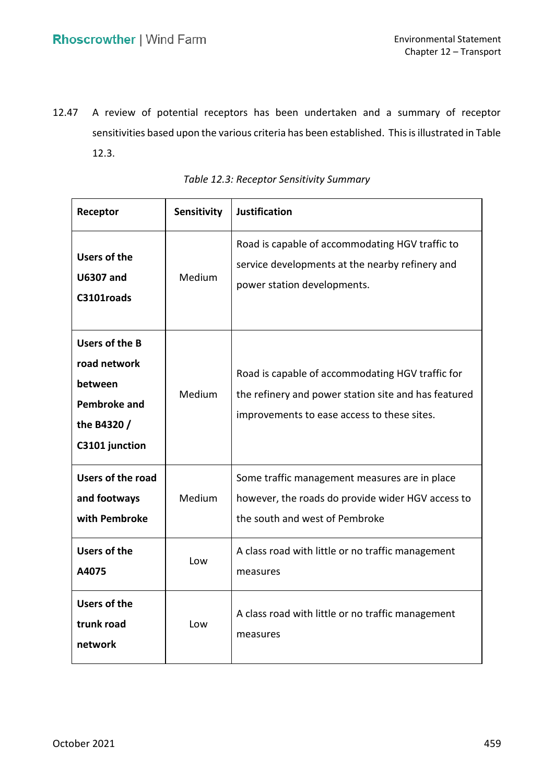12.47 A review of potential receptors has been undertaken and a summary of receptor sensitivities based upon the various criteria has been established. This is illustrated in Table 12.3.

| Receptor                                                                                          | Sensitivity | <b>Justification</b>                                                                                                                                    |
|---------------------------------------------------------------------------------------------------|-------------|---------------------------------------------------------------------------------------------------------------------------------------------------------|
| <b>Users of the</b><br><b>U6307 and</b><br>C3101roads                                             | Medium      | Road is capable of accommodating HGV traffic to<br>service developments at the nearby refinery and<br>power station developments.                       |
| Users of the B<br>road network<br>between<br><b>Pembroke and</b><br>the B4320 /<br>C3101 junction | Medium      | Road is capable of accommodating HGV traffic for<br>the refinery and power station site and has featured<br>improvements to ease access to these sites. |
| <b>Users of the road</b><br>and footways<br>with Pembroke                                         | Medium      | Some traffic management measures are in place<br>however, the roads do provide wider HGV access to<br>the south and west of Pembroke                    |
| <b>Users of the</b><br>A4075                                                                      | Low         | A class road with little or no traffic management<br>measures                                                                                           |
| <b>Users of the</b><br>trunk road<br>network                                                      | Low         | A class road with little or no traffic management<br>measures                                                                                           |

| Table 12.3: Receptor Sensitivity Summary |  |  |
|------------------------------------------|--|--|
|------------------------------------------|--|--|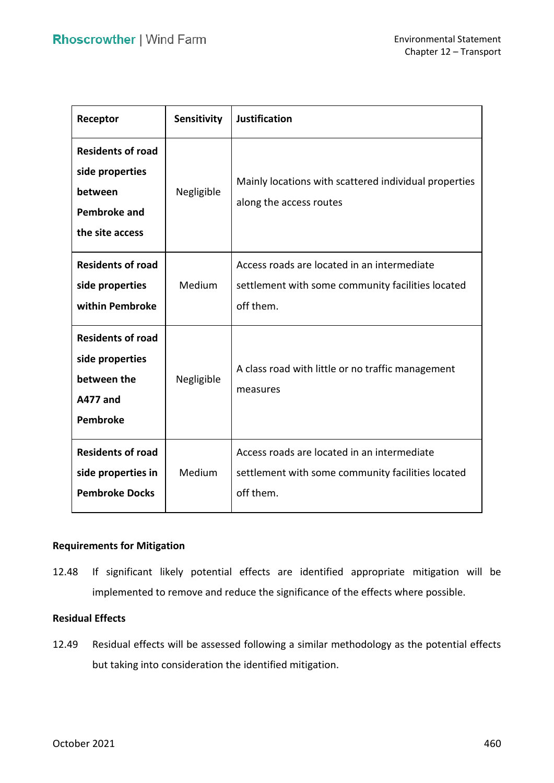| Receptor                                                                                         | Sensitivity | <b>Justification</b>                                                                                          |
|--------------------------------------------------------------------------------------------------|-------------|---------------------------------------------------------------------------------------------------------------|
| <b>Residents of road</b><br>side properties<br>between<br><b>Pembroke and</b><br>the site access | Negligible  | Mainly locations with scattered individual properties<br>along the access routes                              |
| <b>Residents of road</b><br>side properties<br>within Pembroke                                   | Medium      | Access roads are located in an intermediate<br>settlement with some community facilities located<br>off them. |
| <b>Residents of road</b><br>side properties<br>between the<br><b>A477 and</b><br>Pembroke        | Negligible  | A class road with little or no traffic management<br>measures                                                 |
| <b>Residents of road</b><br>side properties in<br><b>Pembroke Docks</b>                          | Medium      | Access roads are located in an intermediate<br>settlement with some community facilities located<br>off them. |

## **Requirements for Mitigation**

 12.48 If significant likely potential effects are identified appropriate mitigation will be implemented to remove and reduce the significance of the effects where possible.

## **Residual Effects**

 12.49 Residual effects will be assessed following a similar methodology as the potential effects but taking into consideration the identified mitigation.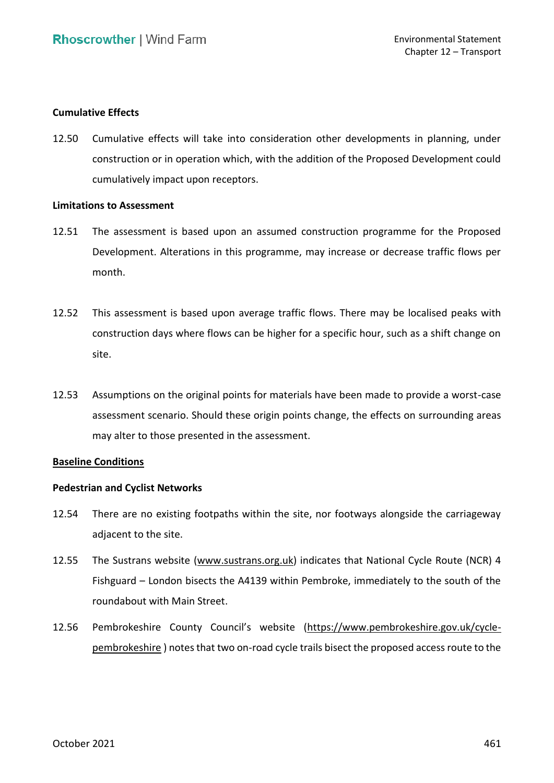### **Cumulative Effects**

 12.50 Cumulative effects will take into consideration other developments in planning, under construction or in operation which, with the addition of the Proposed Development could cumulatively impact upon receptors.

### **Limitations to Assessment**

- 12.51 The assessment is based upon an assumed construction programme for the Proposed Development. Alterations in this programme, may increase or decrease traffic flows per month.
- 12.52 This assessment is based upon average traffic flows. There may be localised peaks with construction days where flows can be higher for a specific hour, such as a shift change on site.
- 12.53 Assumptions on the original points for materials have been made to provide a worst-case assessment scenario. Should these origin points change, the effects on surrounding areas may alter to those presented in the assessment.

### **Baseline Conditions**

## **Pedestrian and Cyclist Networks**

- 12.54 There are no existing footpaths within the site, nor footways alongside the carriageway adjacent to the site.
- 12.55 The Sustrans website [\(www.sustrans.org.uk\)](http://www.sustrans.org.uk/) indicates that National Cycle Route (NCR) 4 Fishguard – London bisects the A4139 within Pembroke, immediately to the south of the roundabout with Main Street.
- 12.56 Pembrokeshire County Council's website ([https://www.pembrokeshire.gov.uk/cycle-](https://www.pembrokeshire.gov.uk/cycle-pembrokeshire)[pembrokeshire \)](https://www.pembrokeshire.gov.uk/cycle-pembrokeshire) notes that two on-road cycle trails bisect the proposed access route to the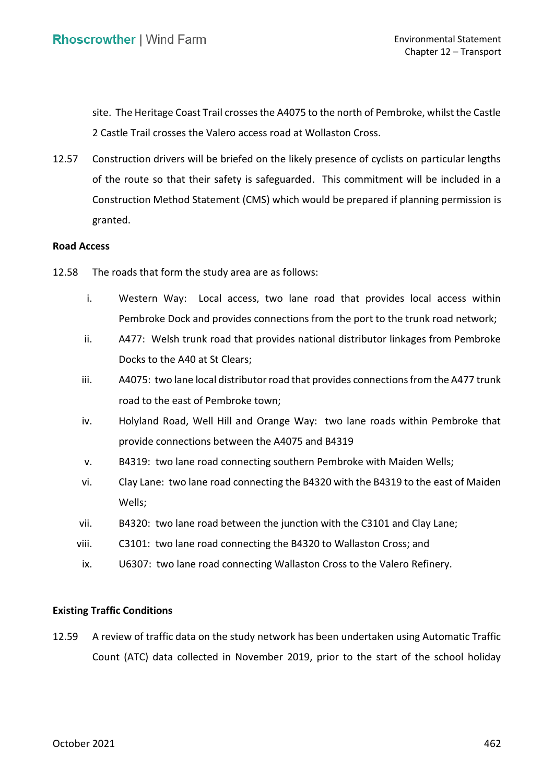site. The Heritage Coast Trail crosses the A4075 to the north of Pembroke, whilst the Castle 2 Castle Trail crosses the Valero access road at Wollaston Cross.

 12.57 Construction drivers will be briefed on the likely presence of cyclists on particular lengths of the route so that their safety is safeguarded. This commitment will be included in a Construction Method Statement (CMS) which would be prepared if planning permission is granted.

#### **Road Access**

- 12.58 The roads that form the study area are as follows:
	- i. Western Way: Local access, two lane road that provides local access within Pembroke Dock and provides connections from the port to the trunk road network;
	- ii. A477: Welsh trunk road that provides national distributor linkages from Pembroke Docks to the A40 at St Clears;
	- iii. A4075: two lane local distributor road that provides connections from the A477 trunk road to the east of Pembroke town;
	- iv. Holyland Road, Well Hill and Orange Way: two lane roads within Pembroke that provide connections between the A4075 and B4319
	- v. B4319: two lane road connecting southern Pembroke with Maiden Wells;
	- vi. Clay Lane: two lane road connecting the B4320 with the B4319 to the east of Maiden Wells;
	- vii. B4320: two lane road between the junction with the C3101 and Clay Lane;
	- viii. C3101: two lane road connecting the B4320 to Wallaston Cross; and
	- ix. U6307: two lane road connecting Wallaston Cross to the Valero Refinery.

### **Existing Traffic Conditions**

 12.59 A review of traffic data on the study network has been undertaken using Automatic Traffic Count (ATC) data collected in November 2019, prior to the start of the school holiday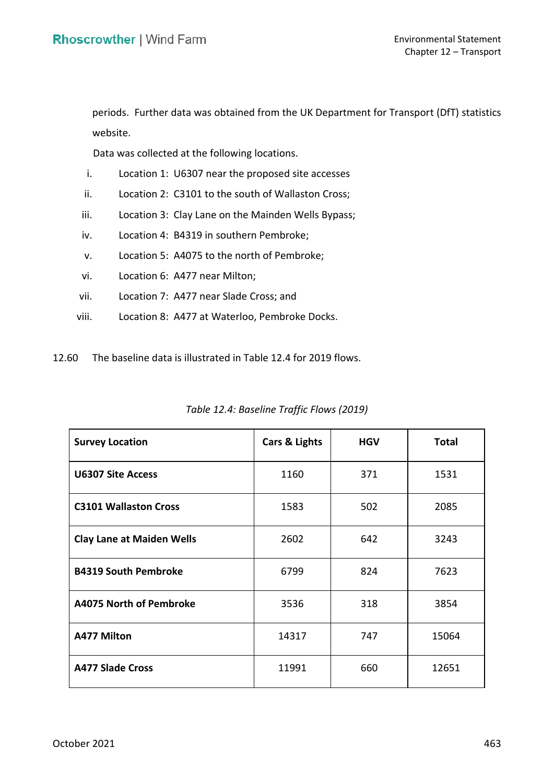periods. Further data was obtained from the UK Department for Transport (DfT) statistics website.

Data was collected at the following locations.

- i. Location 1: U6307 near the proposed site accesses
- ii. Location 2: C3101 to the south of Wallaston Cross;
- iii. Location 3: Clay Lane on the Mainden Wells Bypass;
- iv. Location 4: B4319 in southern Pembroke;
- v. Location 5: A4075 to the north of Pembroke;
- vi. Location 6: A477 near Milton;
- vii. Location 7: A477 near Slade Cross; and
- viii. Location 8: A477 at Waterloo, Pembroke Docks.
- 12.60 The baseline data is illustrated in Table 12.4 for 2019 flows.

| <b>Survey Location</b>           | Cars & Lights | <b>HGV</b> | <b>Total</b> |
|----------------------------------|---------------|------------|--------------|
| <b>U6307 Site Access</b>         | 1160          | 371        | 1531         |
| <b>C3101 Wallaston Cross</b>     | 1583          | 502        | 2085         |
| <b>Clay Lane at Maiden Wells</b> | 2602          | 642        | 3243         |
| <b>B4319 South Pembroke</b>      | 6799          | 824        | 7623         |
| <b>A4075 North of Pembroke</b>   | 3536          | 318        | 3854         |
| <b>A477 Milton</b>               | 14317         | 747        | 15064        |
| <b>A477 Slade Cross</b>          | 11991         | 660        | 12651        |

*Table 12.4: Baseline Traffic Flows (2019)*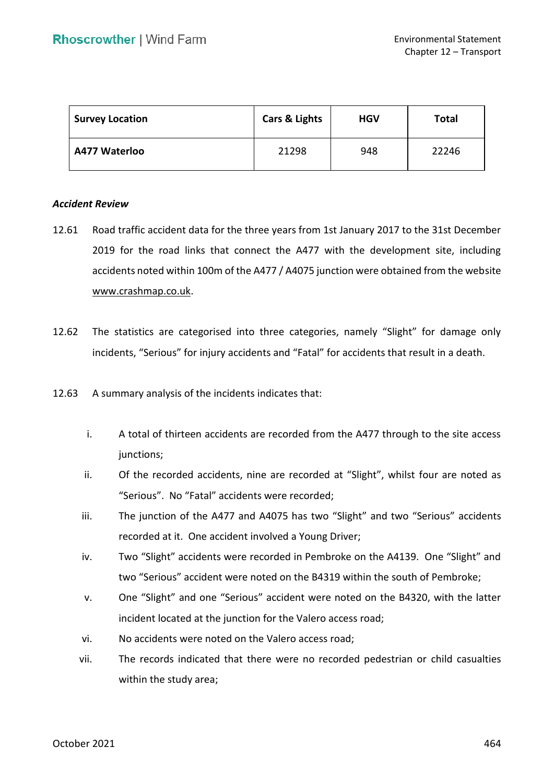| <b>Survey Location</b> | Cars & Lights | <b>HGV</b> | <b>Total</b> |
|------------------------|---------------|------------|--------------|
| A477 Waterloo          | 21298         | 948        | 22246        |

#### *Accident Review*

- 12.61 Road traffic accident data for the three years from 1st January 2017 to the 31st December 2019 for the road links that connect the A477 with the development site, including accidents noted within 100m of the A477 / A4075 junction were obtained from the website [www.crashmap.co.uk.](http://www.crashmap.co.uk/)
- 12.62 The statistics are categorised into three categories, namely "Slight" for damage only incidents, "Serious" for injury accidents and "Fatal" for accidents that result in a death.
- 12.63 A summary analysis of the incidents indicates that:
	- i. A total of thirteen accidents are recorded from the A477 through to the site access junctions;
	- ii. Of the recorded accidents, nine are recorded at "Slight", whilst four are noted as "Serious". No "Fatal" accidents were recorded;
	- iii. The junction of the A477 and A4075 has two "Slight" and two "Serious" accidents recorded at it. One accident involved a Young Driver;
	- iv. Two "Slight" accidents were recorded in Pembroke on the A4139. One "Slight" and two "Serious" accident were noted on the B4319 within the south of Pembroke;
	- v. One "Slight" and one "Serious" accident were noted on the B4320, with the latter incident located at the junction for the Valero access road;
	- vi. No accidents were noted on the Valero access road;
	- vii. The records indicated that there were no recorded pedestrian or child casualties within the study area;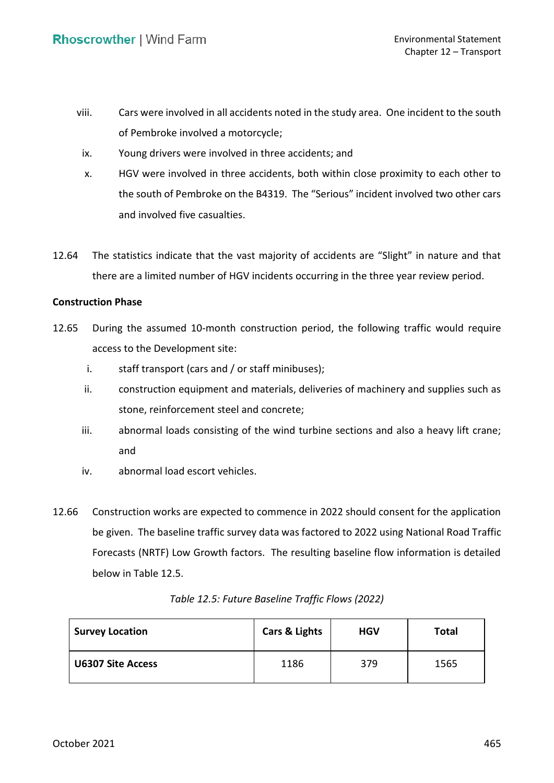- viii. Cars were involved in all accidents noted in the study area. One incident to the south of Pembroke involved a motorcycle;
- ix. Young drivers were involved in three accidents; and
- x. HGV were involved in three accidents, both within close proximity to each other to the south of Pembroke on the B4319. The "Serious" incident involved two other cars and involved five casualties.
- 12.64 The statistics indicate that the vast majority of accidents are "Slight" in nature and that there are a limited number of HGV incidents occurring in the three year review period.

### **Construction Phase**

- 12.65 During the assumed 10-month construction period, the following traffic would require access to the Development site:
	- i. staff transport (cars and / or staff minibuses);
	- ii. construction equipment and materials, deliveries of machinery and supplies such as stone, reinforcement steel and concrete;
	- iii. abnormal loads consisting of the wind turbine sections and also a heavy lift crane; and
	- iv. abnormal load escort vehicles.
- 12.66 Construction works are expected to commence in 2022 should consent for the application be given. The baseline traffic survey data was factored to 2022 using National Road Traffic Forecasts (NRTF) Low Growth factors. The resulting baseline flow information is detailed below in Table 12.5.

| <b>Survey Location</b>   | <b>Cars &amp; Lights</b> | <b>HGV</b> | <b>Total</b> |
|--------------------------|--------------------------|------------|--------------|
| <b>U6307 Site Access</b> | 1186                     | 379        | 1565         |

## *Table 12.5: Future Baseline Traffic Flows (2022)*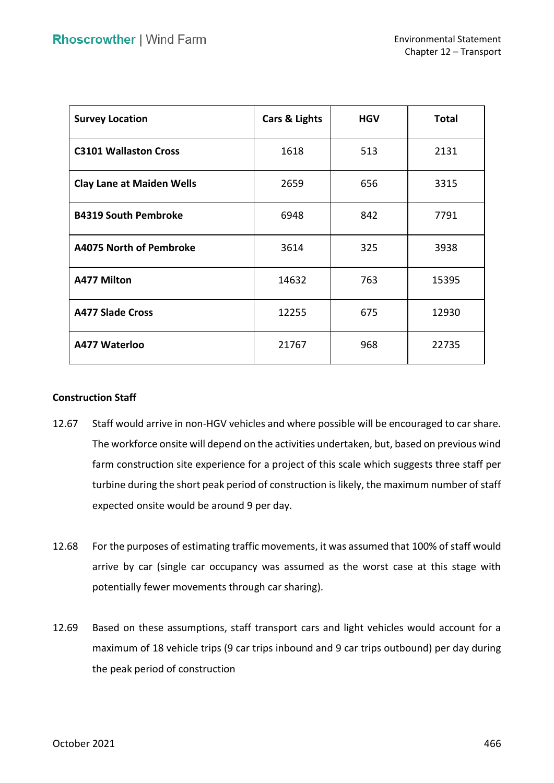| <b>Survey Location</b>           | Cars & Lights | <b>HGV</b> | <b>Total</b> |
|----------------------------------|---------------|------------|--------------|
| <b>C3101 Wallaston Cross</b>     | 1618          | 513        | 2131         |
| <b>Clay Lane at Maiden Wells</b> | 2659          | 656        | 3315         |
| <b>B4319 South Pembroke</b>      | 6948          | 842        | 7791         |
| A4075 North of Pembroke          | 3614          | 325        | 3938         |
| <b>A477 Milton</b>               | 14632         | 763        | 15395        |
| <b>A477 Slade Cross</b>          | 12255         | 675        | 12930        |
| A477 Waterloo                    | 21767         | 968        | 22735        |

## **Construction Staff**

- 12.67 Staff would arrive in non-HGV vehicles and where possible will be encouraged to car share. The workforce onsite will depend on the activities undertaken, but, based on previous wind farm construction site experience for a project of this scale which suggests three staff per turbine during the short peak period of construction is likely, the maximum number of staff expected onsite would be around 9 per day.
- 12.68 For the purposes of estimating traffic movements, it was assumed that 100% of staff would arrive by car (single car occupancy was assumed as the worst case at this stage with potentially fewer movements through car sharing).
- 12.69 Based on these assumptions, staff transport cars and light vehicles would account for a maximum of 18 vehicle trips (9 car trips inbound and 9 car trips outbound) per day during the peak period of construction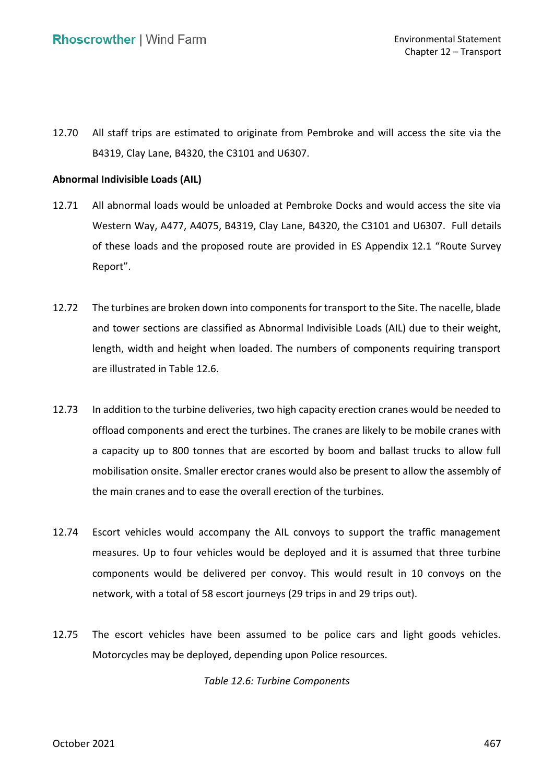12.70 All staff trips are estimated to originate from Pembroke and will access the site via the B4319, Clay Lane, B4320, the C3101 and U6307.

## **Abnormal Indivisible Loads (AIL)**

- 12.71 All abnormal loads would be unloaded at Pembroke Docks and would access the site via Western Way, A477, A4075, B4319, Clay Lane, B4320, the C3101 and U6307. Full details of these loads and the proposed route are provided in ES Appendix 12.1 "Route Survey Report".
- 12.72 The turbines are broken down into components for transport to the Site. The nacelle, blade and tower sections are classified as Abnormal Indivisible Loads (AIL) due to their weight, length, width and height when loaded. The numbers of components requiring transport are illustrated in Table 12.6.
- 12.73 In addition to the turbine deliveries, two high capacity erection cranes would be needed to offload components and erect the turbines. The cranes are likely to be mobile cranes with a capacity up to 800 tonnes that are escorted by boom and ballast trucks to allow full mobilisation onsite. Smaller erector cranes would also be present to allow the assembly of the main cranes and to ease the overall erection of the turbines.
- 12.74 Escort vehicles would accompany the AIL convoys to support the traffic management measures. Up to four vehicles would be deployed and it is assumed that three turbine components would be delivered per convoy. This would result in 10 convoys on the network, with a total of 58 escort journeys (29 trips in and 29 trips out).
- 12.75 The escort vehicles have been assumed to be police cars and light goods vehicles. Motorcycles may be deployed, depending upon Police resources.

*Table 12.6: Turbine Components*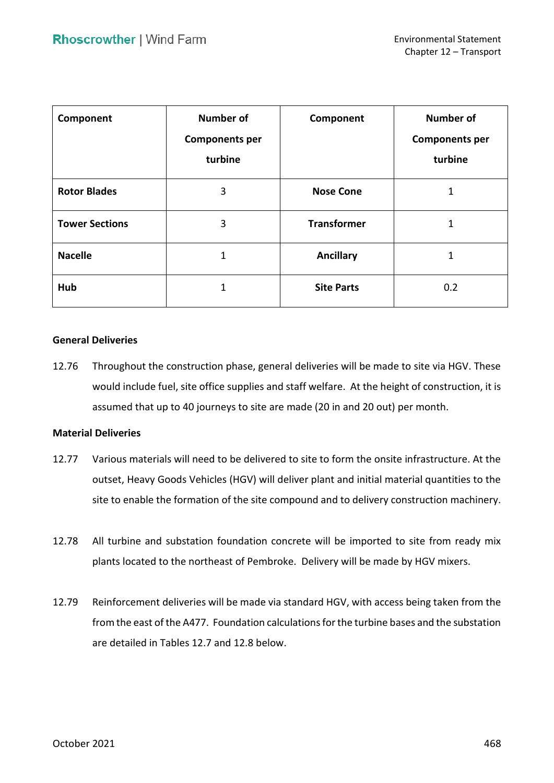| Component             | Number of<br><b>Components per</b><br>turbine | Component          | <b>Number of</b><br><b>Components per</b><br>turbine |
|-----------------------|-----------------------------------------------|--------------------|------------------------------------------------------|
| <b>Rotor Blades</b>   | 3                                             | <b>Nose Cone</b>   | 1                                                    |
| <b>Tower Sections</b> | 3                                             | <b>Transformer</b> | 1                                                    |
| <b>Nacelle</b>        | 1                                             | <b>Ancillary</b>   | 1                                                    |
| Hub                   | 1                                             | <b>Site Parts</b>  | 0.2                                                  |

### **General Deliveries**

 12.76 Throughout the construction phase, general deliveries will be made to site via HGV. These would include fuel, site office supplies and staff welfare. At the height of construction, it is assumed that up to 40 journeys to site are made (20 in and 20 out) per month.

### **Material Deliveries**

- 12.77 Various materials will need to be delivered to site to form the onsite infrastructure. At the outset, Heavy Goods Vehicles (HGV) will deliver plant and initial material quantities to the site to enable the formation of the site compound and to delivery construction machinery.
- 12.78 All turbine and substation foundation concrete will be imported to site from ready mix plants located to the northeast of Pembroke. Delivery will be made by HGV mixers.
- 12.79 Reinforcement deliveries will be made via standard HGV, with access being taken from the from the east of the A477. Foundation calculations for the turbine bases and the substation are detailed in Tables 12.7 and 12.8 below.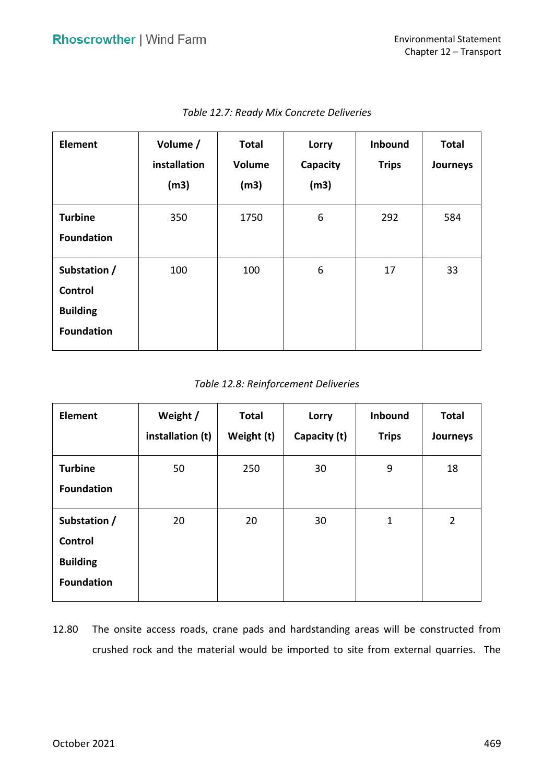| <b>Element</b>                                                  | Volume /<br>installation<br>(m3) | <b>Total</b><br>Volume<br>(m3) | Lorry<br>Capacity<br>(m3) | Inbound<br><b>Trips</b> | <b>Total</b><br>Journeys |
|-----------------------------------------------------------------|----------------------------------|--------------------------------|---------------------------|-------------------------|--------------------------|
| <b>Turbine</b><br><b>Foundation</b>                             | 350                              | 1750                           | 6                         | 292                     | 584                      |
| Substation /<br>Control<br><b>Building</b><br><b>Foundation</b> | 100                              | 100                            | 6                         | 17                      | 33                       |

 *Table 12.7: Ready Mix Concrete Deliveries* 

## *Table 12.8: Reinforcement Deliveries*

| <b>Element</b>                                                  | Weight /<br>installation (t) | <b>Total</b><br>Weight (t) | Lorry<br>Capacity (t) | Inbound<br><b>Trips</b> | <b>Total</b><br>Journeys |
|-----------------------------------------------------------------|------------------------------|----------------------------|-----------------------|-------------------------|--------------------------|
| <b>Turbine</b><br><b>Foundation</b>                             | 50                           | 250                        | 30                    | 9                       | 18                       |
| Substation /<br>Control<br><b>Building</b><br><b>Foundation</b> | 20                           | 20                         | 30                    | $\mathbf{1}$            | $\overline{2}$           |

 12.80 The onsite access roads, crane pads and hardstanding areas will be constructed from crushed rock and the material would be imported to site from external quarries. The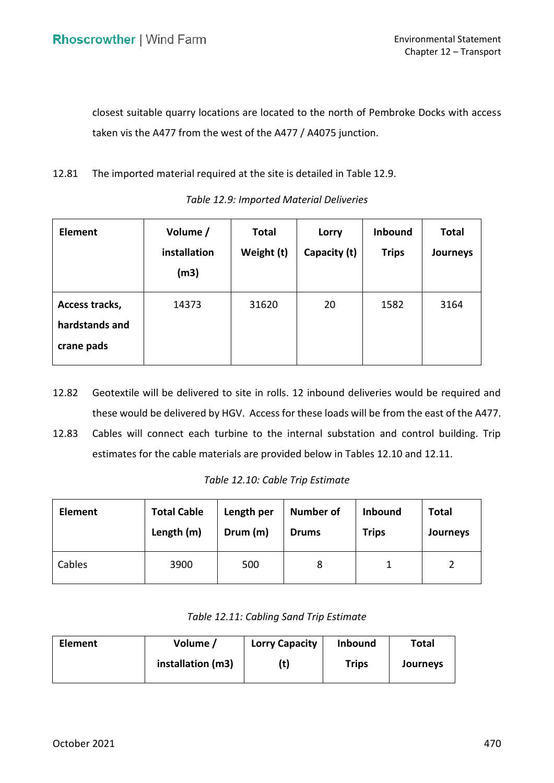closest suitable quarry locations are located to the north of Pembroke Docks with access taken vis the A477 from the west of the A477 / A4075 junction.

12.81 The imported material required at the site is detailed in Table 12.9.

| <b>Element</b>                                 | Volume /<br>installation<br>(m3) | <b>Total</b><br>Weight (t) | Lorry<br>Capacity (t) | <b>Inbound</b><br><b>Trips</b> | <b>Total</b><br>Journeys |
|------------------------------------------------|----------------------------------|----------------------------|-----------------------|--------------------------------|--------------------------|
| Access tracks,<br>hardstands and<br>crane pads | 14373                            | 31620                      | 20                    | 1582                           | 3164                     |

*Table 12.9: Imported Material Deliveries* 

- 12.82 Geotextile will be delivered to site in rolls. 12 inbound deliveries would be required and these would be delivered by HGV. Access for these loads will be from the east of the A477.
- 12.83 Cables will connect each turbine to the internal substation and control building. Trip estimates for the cable materials are provided below in Tables 12.10 and 12.11.

| Element | <b>Total Cable</b> | Length per | <b>Number of</b> | <b>Inbound</b> | <b>Total</b> |  |
|---------|--------------------|------------|------------------|----------------|--------------|--|
|         | Length (m)         | Drum (m)   | <b>Drums</b>     | <b>Trips</b>   | Journeys     |  |
| Cables  | 3900               | 500        | 8                |                |              |  |

| Table 12.11: Cabling Sand Trip Estimate |  |
|-----------------------------------------|--|
|-----------------------------------------|--|

| <b>Element</b> | Volume /          | <b>Lorry Capacity</b> | <b>Inbound</b> | Total    |  |
|----------------|-------------------|-----------------------|----------------|----------|--|
|                | installation (m3) | (t)                   | <b>Trips</b>   | Journeys |  |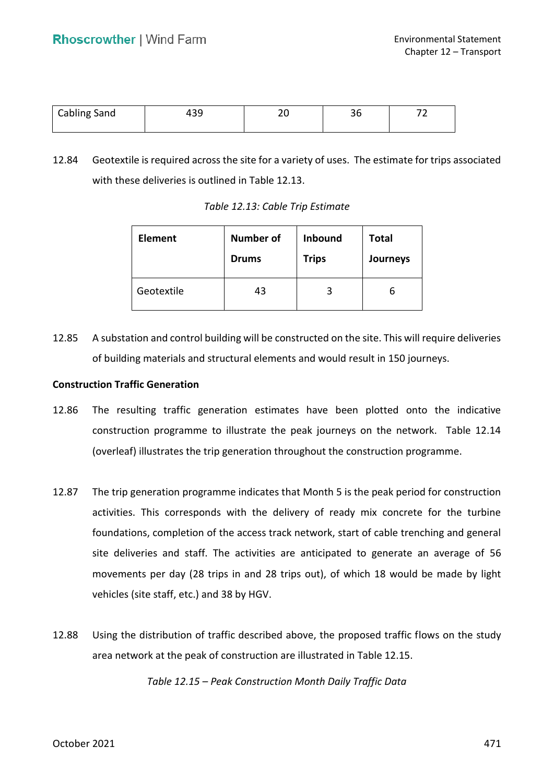| <b>Cabling Sand</b> | ົາດ<br>ככו | ∠∪ | ~~<br>JU | - |
|---------------------|------------|----|----------|---|
|                     |            |    |          |   |

 12.84 Geotextile is required across the site for a variety of uses. The estimate for trips associated with these deliveries is outlined in Table 12.13.

| <b>Element</b> | <b>Number of</b> | <b>Inbound</b> | <b>Total</b> |
|----------------|------------------|----------------|--------------|
|                | <b>Drums</b>     | <b>Trips</b>   | Journeys     |
| Geotextile     | 43               |                | ь            |

 *Table 12.13: Cable Trip Estimate* 

 12.85 A substation and control building will be constructed on the site. This will require deliveries of building materials and structural elements and would result in 150 journeys.

### **Construction Traffic Generation**

- 12.86 The resulting traffic generation estimates have been plotted onto the indicative construction programme to illustrate the peak journeys on the network. Table 12.14 (overleaf) illustrates the trip generation throughout the construction programme.
- 12.87 The trip generation programme indicates that Month 5 is the peak period for construction foundations, completion of the access track network, start of cable trenching and general site deliveries and staff. The activities are anticipated to generate an average of 56 movements per day (28 trips in and 28 trips out), of which 18 would be made by light vehicles (site staff, etc.) and 38 by HGV. activities. This corresponds with the delivery of ready mix concrete for the turbine
- 12.88 Using the distribution of traffic described above, the proposed traffic flows on the study area network at the peak of construction are illustrated in Table 12.15.

 *Table 12.15 – Peak Construction Month Daily Traffic Data*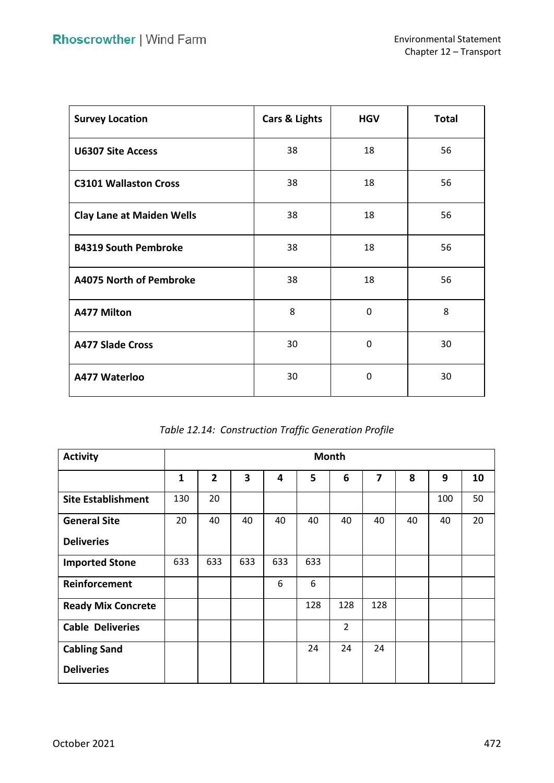| <b>Survey Location</b>           | Cars & Lights | <b>HGV</b> | <b>Total</b> |
|----------------------------------|---------------|------------|--------------|
| <b>U6307 Site Access</b>         | 38            | 18         | 56           |
| <b>C3101 Wallaston Cross</b>     | 38            | 18         | 56           |
| <b>Clay Lane at Maiden Wells</b> | 38            | 18         | 56           |
| <b>B4319 South Pembroke</b>      | 38            | 18         | 56           |
| A4075 North of Pembroke          | 38            | 18         | 56           |
| <b>A477 Milton</b>               | 8             | 0          | 8            |
| <b>A477 Slade Cross</b>          | 30            | $\Omega$   | 30           |
| A477 Waterloo                    | 30            | $\Omega$   | 30           |

| Table 12.14: Construction Traffic Generation Profile |  |  |
|------------------------------------------------------|--|--|
|------------------------------------------------------|--|--|

| <b>Activity</b>           | <b>Month</b> |                |     |     |     |                |                         |    |     |    |
|---------------------------|--------------|----------------|-----|-----|-----|----------------|-------------------------|----|-----|----|
|                           | $\mathbf{1}$ | $\overline{2}$ | 3   | 4   | 5   | 6              | $\overline{\mathbf{z}}$ | 8  | 9   | 10 |
| <b>Site Establishment</b> | 130          | 20             |     |     |     |                |                         |    | 100 | 50 |
| <b>General Site</b>       | 20           | 40             | 40  | 40  | 40  | 40             | 40                      | 40 | 40  | 20 |
| <b>Deliveries</b>         |              |                |     |     |     |                |                         |    |     |    |
| <b>Imported Stone</b>     | 633          | 633            | 633 | 633 | 633 |                |                         |    |     |    |
| Reinforcement             |              |                |     | 6   | 6   |                |                         |    |     |    |
| <b>Ready Mix Concrete</b> |              |                |     |     | 128 | 128            | 128                     |    |     |    |
| <b>Cable Deliveries</b>   |              |                |     |     |     | $\overline{2}$ |                         |    |     |    |
| <b>Cabling Sand</b>       |              |                |     |     | 24  | 24             | 24                      |    |     |    |
| <b>Deliveries</b>         |              |                |     |     |     |                |                         |    |     |    |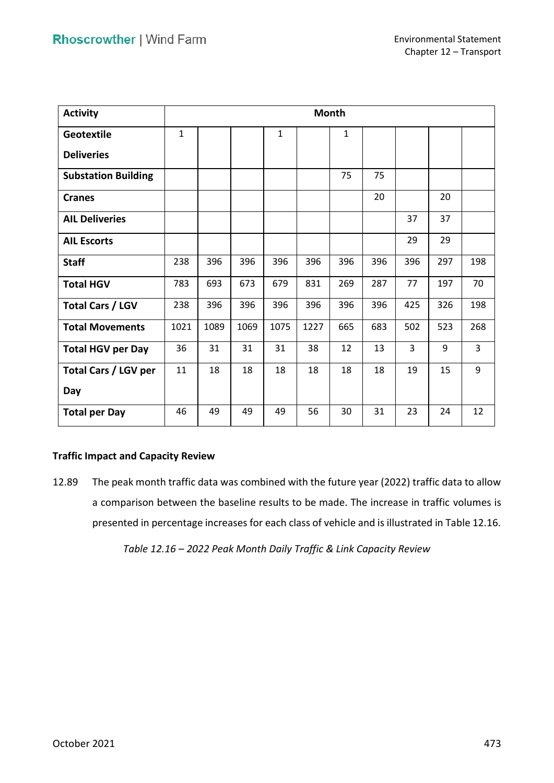| <b>Activity</b>            |              | <b>Month</b> |      |              |      |              |     |     |     |                |
|----------------------------|--------------|--------------|------|--------------|------|--------------|-----|-----|-----|----------------|
| <b>Geotextile</b>          | $\mathbf{1}$ |              |      | $\mathbf{1}$ |      | $\mathbf{1}$ |     |     |     |                |
| <b>Deliveries</b>          |              |              |      |              |      |              |     |     |     |                |
| <b>Substation Building</b> |              |              |      |              |      | 75           | 75  |     |     |                |
| <b>Cranes</b>              |              |              |      |              |      |              | 20  |     | 20  |                |
| <b>AIL Deliveries</b>      |              |              |      |              |      |              |     | 37  | 37  |                |
| <b>AIL Escorts</b>         |              |              |      |              |      |              |     | 29  | 29  |                |
| <b>Staff</b>               | 238          | 396          | 396  | 396          | 396  | 396          | 396 | 396 | 297 | 198            |
| <b>Total HGV</b>           | 783          | 693          | 673  | 679          | 831  | 269          | 287 | 77  | 197 | 70             |
| <b>Total Cars / LGV</b>    | 238          | 396          | 396  | 396          | 396  | 396          | 396 | 425 | 326 | 198            |
| <b>Total Movements</b>     | 1021         | 1089         | 1069 | 1075         | 1227 | 665          | 683 | 502 | 523 | 268            |
| <b>Total HGV per Day</b>   | 36           | 31           | 31   | 31           | 38   | 12           | 13  | 3   | 9   | $\overline{3}$ |
| Total Cars / LGV per       | 11           | 18           | 18   | 18           | 18   | 18           | 18  | 19  | 15  | 9              |
| Day                        |              |              |      |              |      |              |     |     |     |                |
| <b>Total per Day</b>       | 46           | 49           | 49   | 49           | 56   | 30           | 31  | 23  | 24  | 12             |

## **Traffic Impact and Capacity Review**

 12.89 The peak month traffic data was combined with the future year (2022) traffic data to allow a comparison between the baseline results to be made. The increase in traffic volumes is presented in percentage increases for each class of vehicle and is illustrated in Table 12.16.

 *Table 12.16 – 2022 Peak Month Daily Traffic & Link Capacity Review*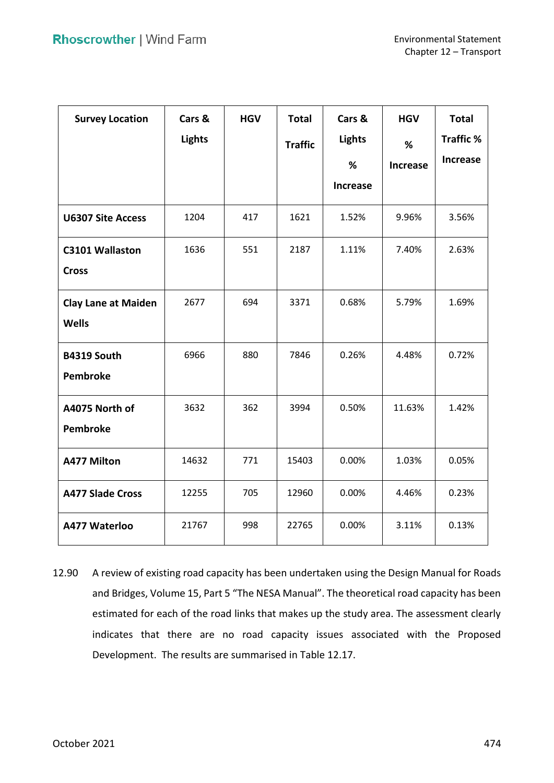| <b>Survey Location</b>     | Cars &<br><b>Lights</b> | <b>HGV</b> | <b>Total</b><br><b>Traffic</b> | Cars &<br><b>Lights</b> | <b>HGV</b><br>% | <b>Total</b><br><b>Traffic %</b> |
|----------------------------|-------------------------|------------|--------------------------------|-------------------------|-----------------|----------------------------------|
|                            |                         |            |                                | %                       | <b>Increase</b> | <b>Increase</b>                  |
|                            |                         |            |                                | <b>Increase</b>         |                 |                                  |
| <b>U6307 Site Access</b>   | 1204                    | 417        | 1621                           | 1.52%                   | 9.96%           | 3.56%                            |
| <b>C3101 Wallaston</b>     | 1636                    | 551        | 2187                           | 1.11%                   | 7.40%           | 2.63%                            |
| <b>Cross</b>               |                         |            |                                |                         |                 |                                  |
| <b>Clay Lane at Maiden</b> | 2677                    | 694        | 3371                           | 0.68%                   | 5.79%           | 1.69%                            |
| <b>Wells</b>               |                         |            |                                |                         |                 |                                  |
| B4319 South                | 6966                    | 880        | 7846                           | 0.26%                   | 4.48%           | 0.72%                            |
| <b>Pembroke</b>            |                         |            |                                |                         |                 |                                  |
| A4075 North of             | 3632                    | 362        | 3994                           | 0.50%                   | 11.63%          | 1.42%                            |
| <b>Pembroke</b>            |                         |            |                                |                         |                 |                                  |
| <b>A477 Milton</b>         | 14632                   | 771        | 15403                          | 0.00%                   | 1.03%           | 0.05%                            |
| <b>A477 Slade Cross</b>    | 12255                   | 705        | 12960                          | 0.00%                   | 4.46%           | 0.23%                            |
| A477 Waterloo              | 21767                   | 998        | 22765                          | 0.00%                   | 3.11%           | 0.13%                            |

 12.90 A review of existing road capacity has been undertaken using the Design Manual for Roads and Bridges, Volume 15, Part 5 "The NESA Manual". The theoretical road capacity has been estimated for each of the road links that makes up the study area. The assessment clearly indicates that there are no road capacity issues associated with the Proposed Development. The results are summarised in Table 12.17.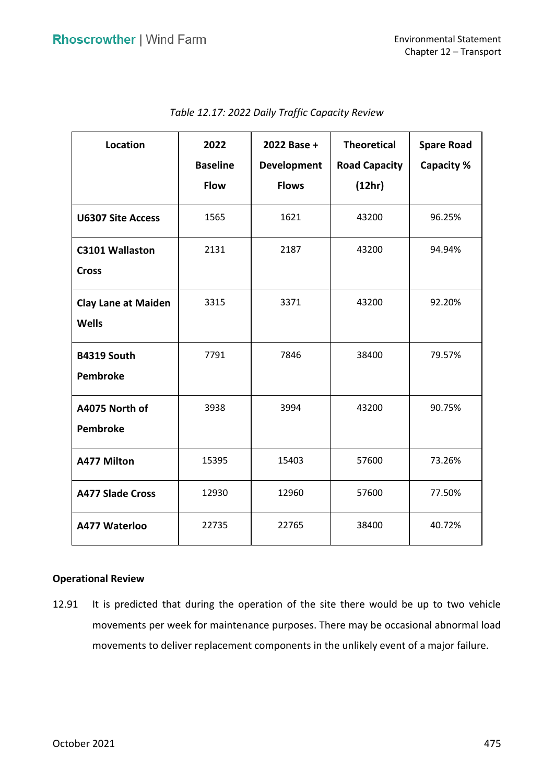| Location                                   | 2022            | 2022 Base +  | <b>Theoretical</b>   | <b>Spare Road</b> |  |
|--------------------------------------------|-----------------|--------------|----------------------|-------------------|--|
|                                            | <b>Baseline</b> | Development  | <b>Road Capacity</b> | Capacity %        |  |
|                                            | <b>Flow</b>     | <b>Flows</b> | (12hr)               |                   |  |
| <b>U6307 Site Access</b>                   | 1565            | 1621         | 43200                | 96.25%            |  |
| C3101 Wallaston<br><b>Cross</b>            | 2131            | 2187         | 43200                | 94.94%            |  |
| <b>Clay Lane at Maiden</b><br><b>Wells</b> | 3315            | 3371         | 43200                | 92.20%            |  |
| B4319 South<br>Pembroke                    | 7791            | 7846         | 38400                | 79.57%            |  |
| A4075 North of<br>Pembroke                 | 3938            | 3994         | 43200                | 90.75%            |  |
| <b>A477 Milton</b>                         | 15395           | 15403        | 57600                | 73.26%            |  |
| <b>A477 Slade Cross</b>                    | 12930           | 12960        | 57600                | 77.50%            |  |
| A477 Waterloo                              | 22735           | 22765        | 38400                | 40.72%            |  |

| Table 12.17: 2022 Daily Traffic Capacity Review |  |
|-------------------------------------------------|--|
|-------------------------------------------------|--|

### **Operational Review**

 12.91 It is predicted that during the operation of the site there would be up to two vehicle movements to deliver replacement components in the unlikely event of a major failure. movements per week for maintenance purposes. There may be occasional abnormal load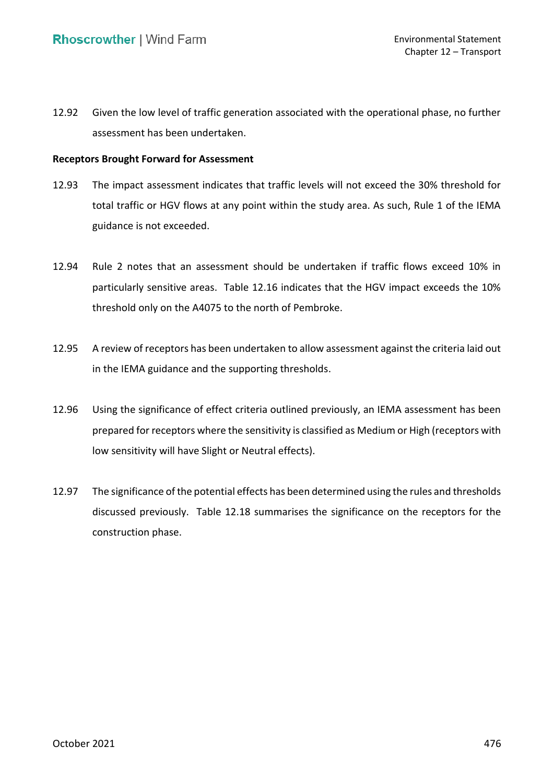12.92 Given the low level of traffic generation associated with the operational phase, no further assessment has been undertaken.

## **Receptors Brought Forward for Assessment**

- 12.93 The impact assessment indicates that traffic levels will not exceed the 30% threshold for total traffic or HGV flows at any point within the study area. As such, Rule 1 of the IEMA guidance is not exceeded.
- 12.94 Rule 2 notes that an assessment should be undertaken if traffic flows exceed 10% in particularly sensitive areas. Table 12.16 indicates that the HGV impact exceeds the 10% threshold only on the A4075 to the north of Pembroke.
- 12.95 A review of receptors has been undertaken to allow assessment against the criteria laid out in the IEMA guidance and the supporting thresholds.
- 12.96 Using the significance of effect criteria outlined previously, an IEMA assessment has been prepared for receptors where the sensitivity is classified as Medium or High (receptors with low sensitivity will have Slight or Neutral effects).
- 12.97 The significance of the potential effects has been determined using the rules and thresholds discussed previously. Table 12.18 summarises the significance on the receptors for the construction phase.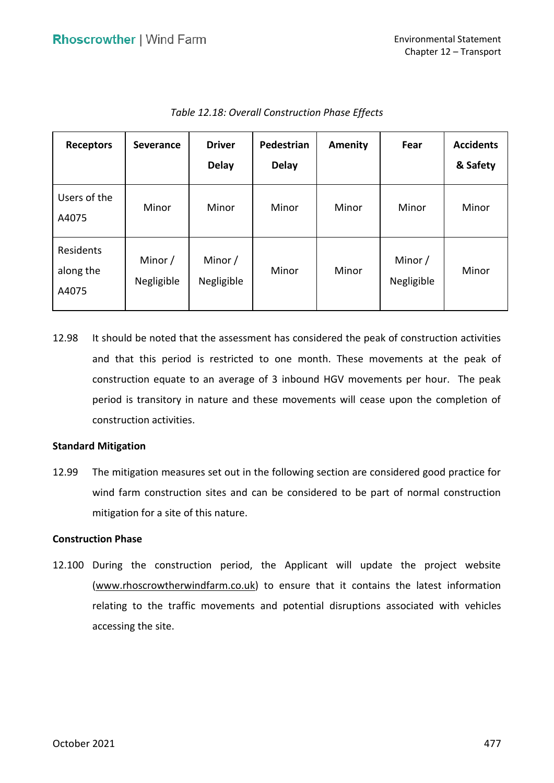| <b>Receptors</b>                | <b>Severance</b>      | <b>Driver</b><br><b>Delay</b> | Pedestrian<br><b>Delay</b> | Amenity | Fear                  | <b>Accidents</b><br>& Safety |
|---------------------------------|-----------------------|-------------------------------|----------------------------|---------|-----------------------|------------------------------|
| Users of the<br>A4075           | Minor                 | Minor                         | Minor                      | Minor   | Minor                 | Minor                        |
| Residents<br>along the<br>A4075 | Minor /<br>Negligible | Minor /<br>Negligible         | Minor                      | Minor   | Minor /<br>Negligible | Minor                        |

 *Table 12.18: Overall Construction Phase Effects* 

 12.98 It should be noted that the assessment has considered the peak of construction activities and that this period is restricted to one month. These movements at the peak of construction equate to an average of 3 inbound HGV movements per hour. The peak period is transitory in nature and these movements will cease upon the completion of construction activities.

### **Standard Mitigation**

 12.99 The mitigation measures set out in the following section are considered good practice for wind farm construction sites and can be considered to be part of normal construction mitigation for a site of this nature.

### **Construction Phase**

 12.100 During the construction period, the Applicant will update the project website [\(www.rhoscrowtherwindfarm.co.uk\)](http://www.rhoscrowtherwindfarm.co.uk/) to ensure that it contains the latest information relating to the traffic movements and potential disruptions associated with vehicles accessing the site.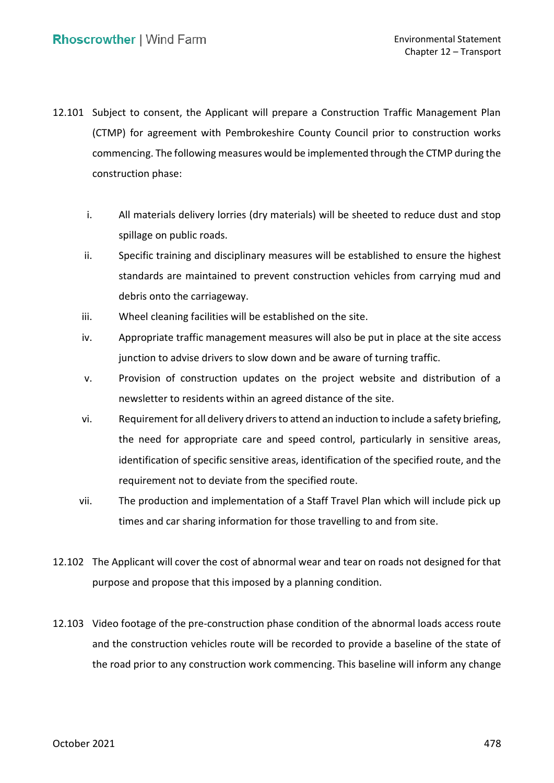- 12.101 Subject to consent, the Applicant will prepare a Construction Traffic Management Plan (CTMP) for agreement with Pembrokeshire County Council prior to construction works commencing. The following measures would be implemented through the CTMP during the construction phase:
	- i. All materials delivery lorries (dry materials) will be sheeted to reduce dust and stop spillage on public roads.
	- ii. Specific training and disciplinary measures will be established to ensure the highest standards are maintained to prevent construction vehicles from carrying mud and debris onto the carriageway.
	- iii. Wheel cleaning facilities will be established on the site.
	- iv. Appropriate traffic management measures will also be put in place at the site access junction to advise drivers to slow down and be aware of turning traffic.
	- v. Provision of construction updates on the project website and distribution of a newsletter to residents within an agreed distance of the site.
	- vi. Requirement for all delivery drivers to attend an induction to include a safety briefing, the need for appropriate care and speed control, particularly in sensitive areas, identification of specific sensitive areas, identification of the specified route, and the requirement not to deviate from the specified route.
	- vii. The production and implementation of a Staff Travel Plan which will include pick up times and car sharing information for those travelling to and from site.
- 12.102 The Applicant will cover the cost of abnormal wear and tear on roads not designed for that purpose and propose that this imposed by a planning condition.
- 12.103 Video footage of the pre-construction phase condition of the abnormal loads access route and the construction vehicles route will be recorded to provide a baseline of the state of the road prior to any construction work commencing. This baseline will inform any change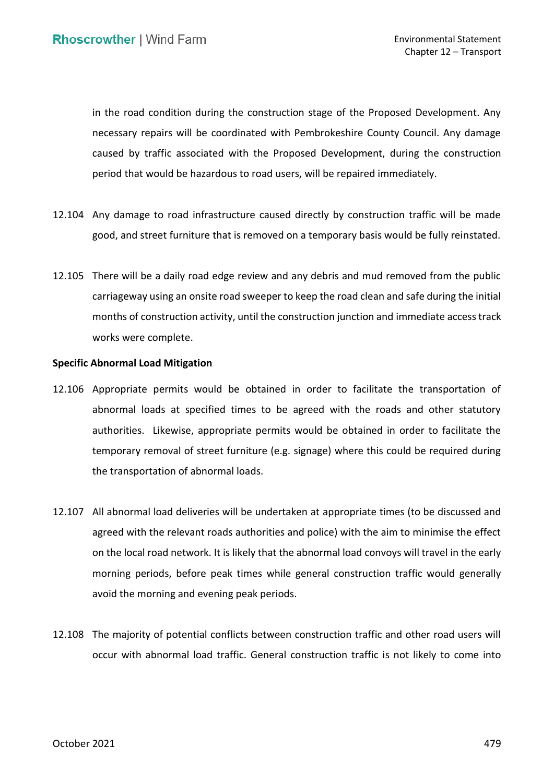in the road condition during the construction stage of the Proposed Development. Any necessary repairs will be coordinated with Pembrokeshire County Council. Any damage caused by traffic associated with the Proposed Development, during the construction period that would be hazardous to road users, will be repaired immediately.

- 12.104 Any damage to road infrastructure caused directly by construction traffic will be made good, and street furniture that is removed on a temporary basis would be fully reinstated.
- 12.105 There will be a daily road edge review and any debris and mud removed from the public carriageway using an onsite road sweeper to keep the road clean and safe during the initial months of construction activity, until the construction junction and immediate access track works were complete.

## **Specific Abnormal Load Mitigation**

- 12.106 Appropriate permits would be obtained in order to facilitate the transportation of abnormal loads at specified times to be agreed with the roads and other statutory authorities. Likewise, appropriate permits would be obtained in order to facilitate the temporary removal of street furniture (e.g. signage) where this could be required during the transportation of abnormal loads.
- 12.107 All abnormal load deliveries will be undertaken at appropriate times (to be discussed and agreed with the relevant roads authorities and police) with the aim to minimise the effect on the local road network. It is likely that the abnormal load convoys will travel in the early morning periods, before peak times while general construction traffic would generally avoid the morning and evening peak periods.
- 12.108 The majority of potential conflicts between construction traffic and other road users will occur with abnormal load traffic. General construction traffic is not likely to come into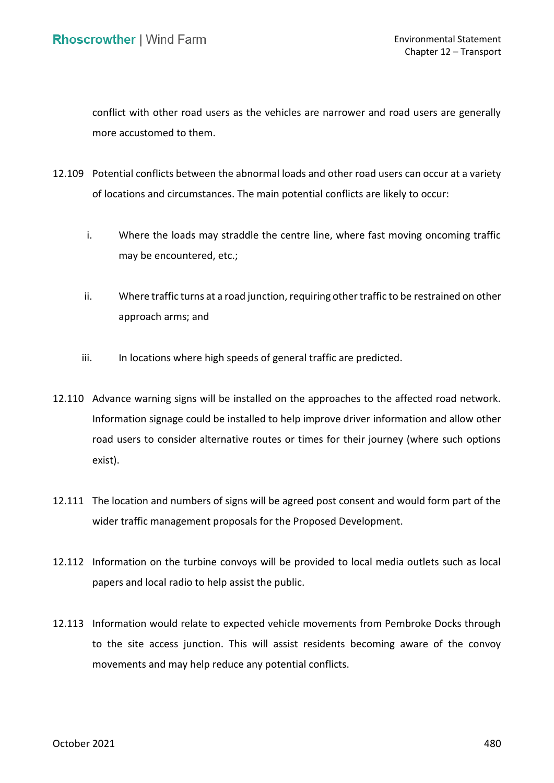conflict with other road users as the vehicles are narrower and road users are generally more accustomed to them.

- 12.109 Potential conflicts between the abnormal loads and other road users can occur at a variety of locations and circumstances. The main potential conflicts are likely to occur:
	- i. Where the loads may straddle the centre line, where fast moving oncoming traffic may be encountered, etc.;
	- ii. Where traffic turns at a road junction, requiring other traffic to be restrained on other approach arms; and
	- iii. In locations where high speeds of general traffic are predicted.
- 12.110 Advance warning signs will be installed on the approaches to the affected road network. Information signage could be installed to help improve driver information and allow other road users to consider alternative routes or times for their journey (where such options exist).
- 12.111 The location and numbers of signs will be agreed post consent and would form part of the wider traffic management proposals for the Proposed Development.
- 12.112 Information on the turbine convoys will be provided to local media outlets such as local papers and local radio to help assist the public.
- 12.113 Information would relate to expected vehicle movements from Pembroke Docks through to the site access junction. This will assist residents becoming aware of the convoy movements and may help reduce any potential conflicts.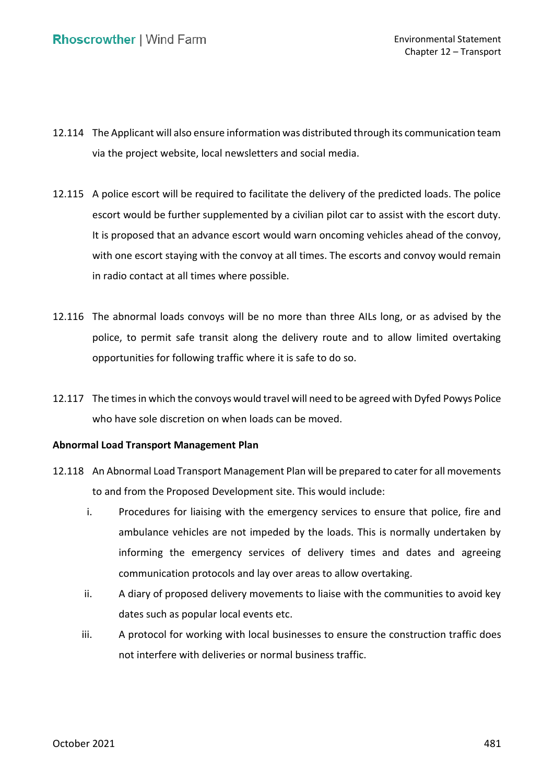- 12.114 The Applicant will also ensure information was distributed through its communication team via the project website, local newsletters and social media.
- 12.115 A police escort will be required to facilitate the delivery of the predicted loads. The police escort would be further supplemented by a civilian pilot car to assist with the escort duty. It is proposed that an advance escort would warn oncoming vehicles ahead of the convoy, with one escort staying with the convoy at all times. The escorts and convoy would remain in radio contact at all times where possible.
- 12.116 The abnormal loads convoys will be no more than three AILs long, or as advised by the police, to permit safe transit along the delivery route and to allow limited overtaking opportunities for following traffic where it is safe to do so.
- 12.117 The times in which the convoys would travel will need to be agreed with Dyfed Powys Police who have sole discretion on when loads can be moved.

### **Abnormal Load Transport Management Plan**

- 12.118 An Abnormal Load Transport Management Plan will be prepared to cater for all movements to and from the Proposed Development site. This would include:
	- i. Procedures for liaising with the emergency services to ensure that police, fire and ambulance vehicles are not impeded by the loads. This is normally undertaken by informing the emergency services of delivery times and dates and agreeing communication protocols and lay over areas to allow overtaking.
	- ii. A diary of proposed delivery movements to liaise with the communities to avoid key dates such as popular local events etc.
	- iii. A protocol for working with local businesses to ensure the construction traffic does not interfere with deliveries or normal business traffic.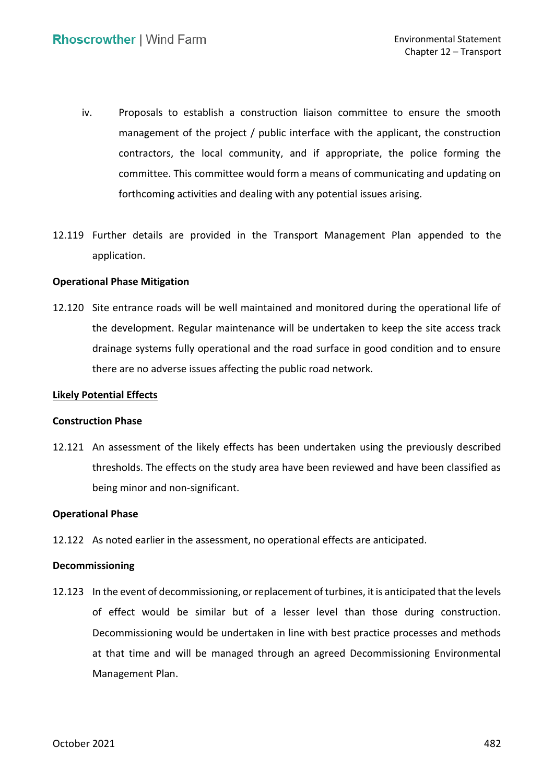- iv. Proposals to establish a construction liaison committee to ensure the smooth management of the project / public interface with the applicant, the construction contractors, the local community, and if appropriate, the police forming the committee. This committee would form a means of communicating and updating on forthcoming activities and dealing with any potential issues arising.
- 12.119 Further details are provided in the Transport Management Plan appended to the application.

### **Operational Phase Mitigation**

 12.120 Site entrance roads will be well maintained and monitored during the operational life of the development. Regular maintenance will be undertaken to keep the site access track drainage systems fully operational and the road surface in good condition and to ensure there are no adverse issues affecting the public road network.

### **Likely Potential Effects**

#### **Construction Phase**

 12.121 An assessment of the likely effects has been undertaken using the previously described thresholds. The effects on the study area have been reviewed and have been classified as being minor and non-significant.

#### **Operational Phase**

12.122 As noted earlier in the assessment, no operational effects are anticipated.

#### **Decommissioning**

 12.123 In the event of decommissioning, or replacement of turbines, it is anticipated that the levels of effect would be similar but of a lesser level than those during construction. Decommissioning would be undertaken in line with best practice processes and methods at that time and will be managed through an agreed Decommissioning Environmental Management Plan.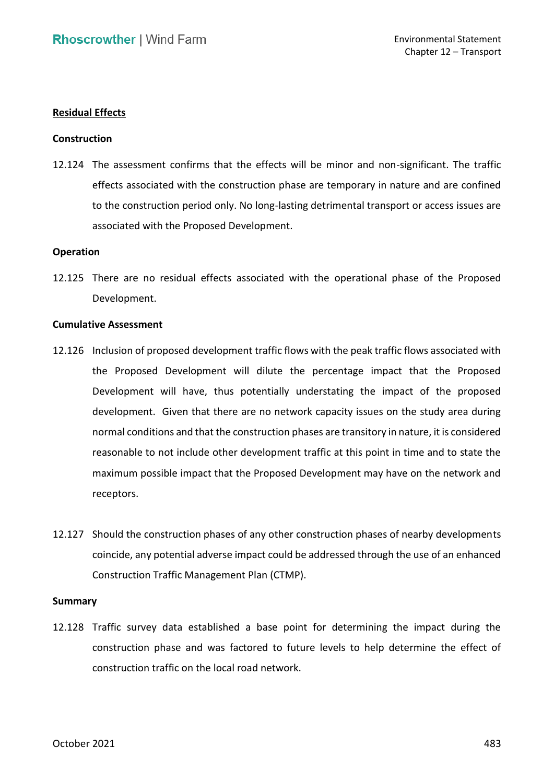## **Residual Effects**

#### **Construction**

 12.124 The assessment confirms that the effects will be minor and non-significant. The traffic effects associated with the construction phase are temporary in nature and are confined to the construction period only. No long-lasting detrimental transport or access issues are associated with the Proposed Development.

#### **Operation**

 12.125 There are no residual effects associated with the operational phase of the Proposed Development.

#### **Cumulative Assessment**

- 12.126 Inclusion of proposed development traffic flows with the peak traffic flows associated with the Proposed Development will dilute the percentage impact that the Proposed Development will have, thus potentially understating the impact of the proposed development. Given that there are no network capacity issues on the study area during normal conditions and that the construction phases are transitory in nature, it is considered reasonable to not include other development traffic at this point in time and to state the maximum possible impact that the Proposed Development may have on the network and receptors.
- 12.127 Should the construction phases of any other construction phases of nearby developments coincide, any potential adverse impact could be addressed through the use of an enhanced Construction Traffic Management Plan (CTMP).

#### **Summary**

 12.128 Traffic survey data established a base point for determining the impact during the construction phase and was factored to future levels to help determine the effect of construction traffic on the local road network.